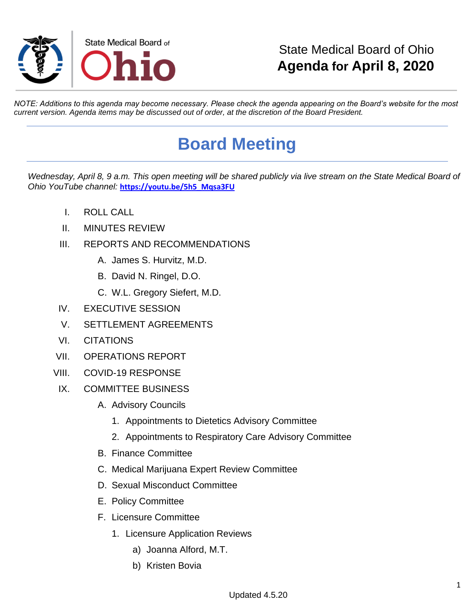

## State Medical Board of Ohio **Agenda for April 8, 2020**

*NOTE: Additions to this agenda may become necessary. Please check the agenda appearing on the Board's website for the most current version. Agenda items may be discussed out of order, at the discretion of the Board President.*

## **Board Meeting**

*Wednesday, April 8, 9 a.m. This open meeting will be shared publicly via live stream on the State Medical Board of Ohio YouTube channel:* **[https://youtu.be/5h5\\_Mqsa3FU](https://gcc01.safelinks.protection.outlook.com/?url=https%3A%2F%2Fyoutu.be%2F5h5_Mqsa3FU&data=02%7C01%7Ctessie.pollock%40med.ohio.gov%7Ca9104a5e19fe418844bc08d7da4b543a%7C50f8fcc494d84f0784eb36ed57c7c8a2%7C0%7C0%7C637217889379195566&sdata=Jxm01LYhrFljqmemdHZISxSo%2F0tZFHeFbBCEgS7vqvo%3D&reserved=0)**

- I. ROLL CALL
- II. MINUTES REVIEW
- III. REPORTS AND RECOMMENDATIONS
	- A. James S. Hurvitz, M.D.
	- B. David N. Ringel, D.O.
	- C. W.L. Gregory Siefert, M.D.
- IV. EXECUTIVE SESSION
- V. SETTLEMENT AGREEMENTS
- VI. CITATIONS
- VII. OPERATIONS REPORT
- VIII. COVID-19 RESPONSE
- IX. COMMITTEE BUSINESS
	- A. Advisory Councils
		- 1. Appointments to Dietetics Advisory Committee
		- 2. Appointments to Respiratory Care Advisory Committee
	- B. Finance Committee
	- C. Medical Marijuana Expert Review Committee
	- D. Sexual Misconduct Committee
	- E. Policy Committee
	- F. Licensure Committee
		- 1. Licensure Application Reviews
			- a) Joanna Alford, M.T.
			- b) Kristen Bovia